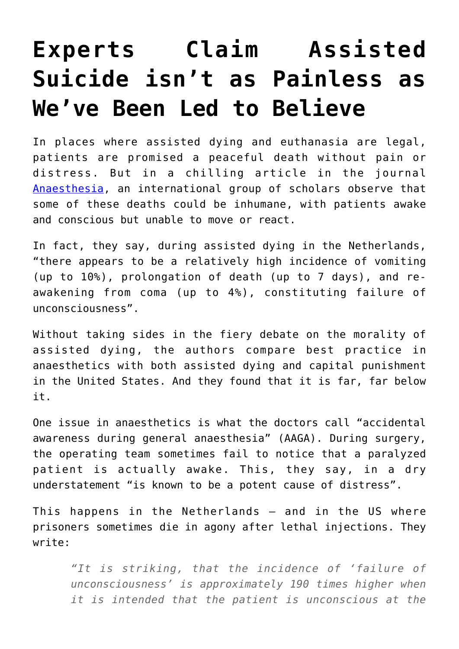## **[Experts Claim Assisted](https://intellectualtakeout.org/2019/03/experts-claim-assisted-suicide-isnt-as-painless-as-weve-been-led-to-believe/) [Suicide isn't as Painless as](https://intellectualtakeout.org/2019/03/experts-claim-assisted-suicide-isnt-as-painless-as-weve-been-led-to-believe/) [We've Been Led to Believe](https://intellectualtakeout.org/2019/03/experts-claim-assisted-suicide-isnt-as-painless-as-weve-been-led-to-believe/)**

In places where assisted dying and euthanasia are legal, patients are promised a peaceful death without pain or distress. But in a chilling article in the journal [Anaesthesia,](https://onlinelibrary.wiley.com/doi/full/10.1111/anae.14532) an international group of scholars observe that some of these deaths could be inhumane, with patients awake and conscious but unable to move or react.

In fact, they say, during assisted dying in the Netherlands, "there appears to be a relatively high incidence of vomiting (up to 10%), prolongation of death (up to 7 days), and reawakening from coma (up to 4%), constituting failure of unconsciousness".

Without taking sides in the fiery debate on the morality of assisted dying, the authors compare best practice in anaesthetics with both assisted dying and capital punishment in the United States. And they found that it is far, far below it.

One issue in anaesthetics is what the doctors call "accidental awareness during general anaesthesia" (AAGA). During surgery, the operating team sometimes fail to notice that a paralyzed patient is actually awake. This, they say, in a dry understatement "is known to be a potent cause of distress".

This happens in the Netherlands — and in the US where prisoners sometimes die in agony after lethal injections. They write:

*"It is striking, that the incidence of 'failure of unconsciousness' is approximately 190 times higher when it is intended that the patient is unconscious at the*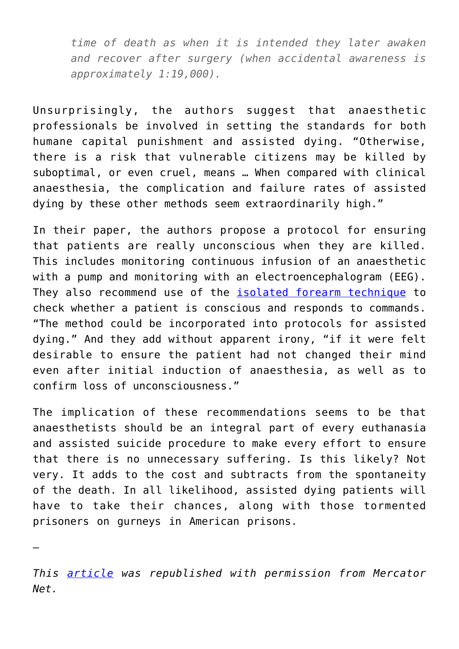*time of death as when it is intended they later awaken and recover after surgery (when accidental awareness is approximately 1:19,000).*

Unsurprisingly, the authors suggest that anaesthetic professionals be involved in setting the standards for both humane capital punishment and assisted dying. "Otherwise, there is a risk that vulnerable citizens may be killed by suboptimal, or even cruel, means … When compared with clinical anaesthesia, the complication and failure rates of assisted dying by these other methods seem extraordinarily high."

In their paper, the authors propose a protocol for ensuring that patients are really unconscious when they are killed. This includes monitoring continuous infusion of an anaesthetic with a pump and monitoring with an electroencephalogram (EEG). They also recommend use of the *isolated* forearm technique to check whether a patient is conscious and responds to commands. "The method could be incorporated into protocols for assisted dying." And they add without apparent irony, "if it were felt desirable to ensure the patient had not changed their mind even after initial induction of anaesthesia, as well as to confirm loss of unconsciousness."

The implication of these recommendations seems to be that anaesthetists should be an integral part of every euthanasia and assisted suicide procedure to make every effort to ensure that there is no unnecessary suffering. Is this likely? Not very. It adds to the cost and subtracts from the spontaneity of the death. In all likelihood, assisted dying patients will have to take their chances, along with those tormented prisoners on gurneys in American prisons.

*This [article](https://www.mercatornet.com/careful/view/assisted-dying-can-be-inhumane-experts-claim/22240) was republished with permission from Mercator Net.*

—